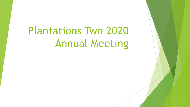# Plantations Two 2020 Annual Meeting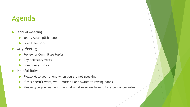#### Agenda

- **Annual Meeting** 
	- **>** Yearly Accomplishments
	- Board Elections
- **May Meeting** 
	- Review of Committee topics
	- Any necessary votes
	- Community topics
- $\blacktriangleright$  Helpful Rules
	- $\blacktriangleright$  Please Mute your phone when you are not speaking
	- If this doesn't work, we'll mute all and switch to raising hands
	- Please type your name in the chat window so we have it for attendance/votes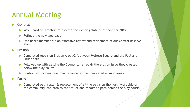- General
	- ▶ May, Board of Directors re-elected the existing slate of officers for 2019
	- $\blacktriangleright$  Refined the new web page
	- One Board member did an extensive review and refinement of our Capital Reserve Plan
- Erosion
	- ▶ Completed repair on Erosion Area #2 (between Melrose Square and the Pool and under path
	- Followed up with getting the County to re-repair the erosion issue they created below the play courts
	- ▶ Contracted for bi-annual maintenance on the completed erosion areas
- Paths
	- ▶ Completed path repair & replacement of all the paths on the north west side of the community, the path to the tot lot and repairs to path behind the play courts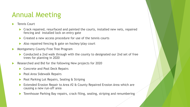- Tennis Court
	- Crack repaired, resurfaced and painted the courts, installed new nets, repaired fencing and installed lock on entry gate
	- ▶ Created a new access procedure for use of the tennis courts
	- Also repaired fencing & gate on hockey/play court
- Montgomery County Free Tree Program
	- ▶ Conducted a 2nd walk through with the county to designated our 2nd set of free trees for planting in 2020
- Researched and Bid for the following New projects for 2020
	- ▶ Concrete and Pool Deck Repairs
	- **Pool Area Sidewalk Repairs**
	- Pool Parking Lot Repairs, Sealing & Striping
	- Extended Erosion Repair to Area #2 & County Repaired Erosion Area which are causing a new run-off area
	- Townhouse Parking Bay repairs, crack filing, sealing, striping and renumbering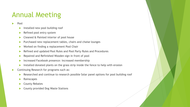- Pool
	- Installed new pool building roof
	- Refined pool entry system
	- ▶ Cleaned & Painted interior of pool house
	- Purchased new replacement tables, chairs and chaise lounges
	- ▶ Worked on finding a replacement Pool Chair
	- ▶ Refined and updated Pool Rules and Pool Party Rules and Procedures
	- Repaired and Refinished Wooden sign in front of pool
	- **Increased Facebook presence: Increased membership**
	- Installed donated plants on the grass strip inside the fence to help with erosion
- **Continuing Research for programs such as:** 
	- Researched and continue to research possible Solar panel options for pool building roof
	- Rainscapes
	- County Rebates
	- ▶ County provided Dog Waste Stations